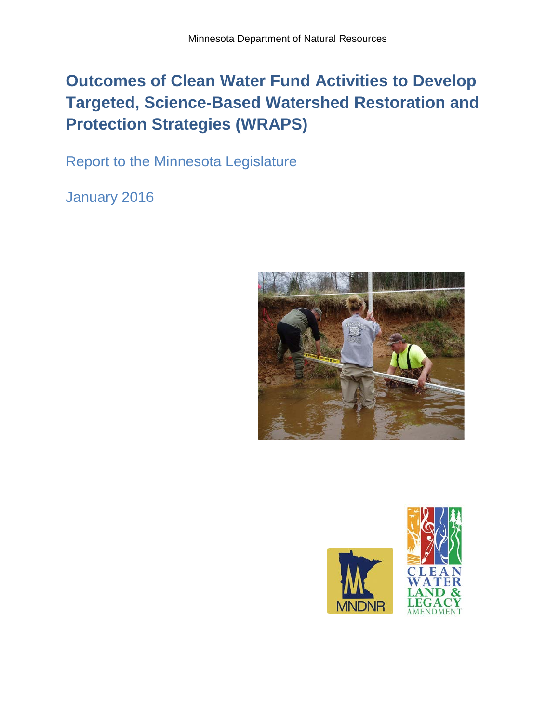# **Outcomes of Clean Water Fund Activities to Develop Targeted, Science-Based Watershed Restoration and Protection Strategies (WRAPS)**

Report to the Minnesota Legislature

January 2016



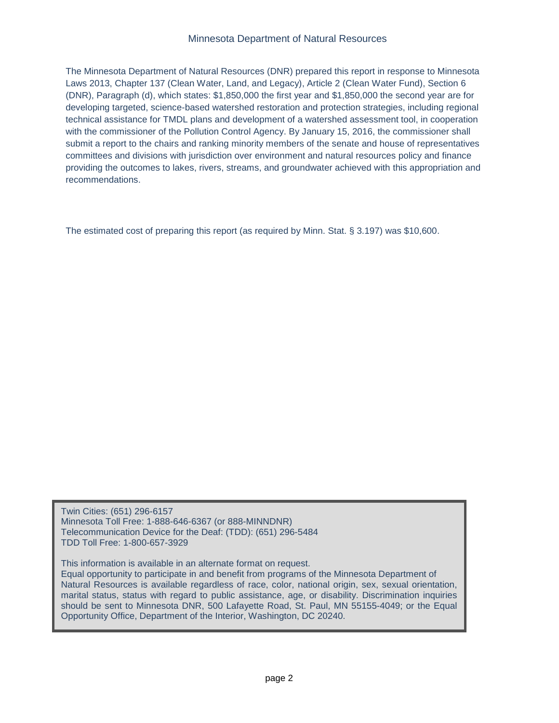The Minnesota Department of Natural Resources (DNR) prepared this report in response to Minnesota Laws 2013, Chapter 137 (Clean Water, Land, and Legacy), Article 2 (Clean Water Fund), Section 6 (DNR), Paragraph (d), which states: \$1,850,000 the first year and \$1,850,000 the second year are for developing targeted, science-based watershed restoration and protection strategies, including regional technical assistance for TMDL plans and development of a watershed assessment tool, in cooperation with the commissioner of the Pollution Control Agency. By January 15, 2016, the commissioner shall submit a report to the chairs and ranking minority members of the senate and house of representatives committees and divisions with jurisdiction over environment and natural resources policy and finance providing the outcomes to lakes, rivers, streams, and groundwater achieved with this appropriation and recommendations.

The estimated cost of preparing this report (as required by Minn. Stat. § 3.197) was \$10,600.

Twin Cities: (651) 296-6157 Minnesota Toll Free: 1-888-646-6367 (or 888-MINNDNR) Telecommunication Device for the Deaf: (TDD): (651) 296-5484 TDD Toll Free: 1-800-657-3929

This information is available in an alternate format on request.

Equal opportunity to participate in and benefit from programs of the Minnesota Department of Natural Resources is available regardless of race, color, national origin, sex, sexual orientation, marital status, status with regard to public assistance, age, or disability. Discrimination inquiries should be sent to Minnesota DNR, 500 Lafayette Road, St. Paul, MN 55155-4049; or the Equal Opportunity Office, Department of the Interior, Washington, DC 20240.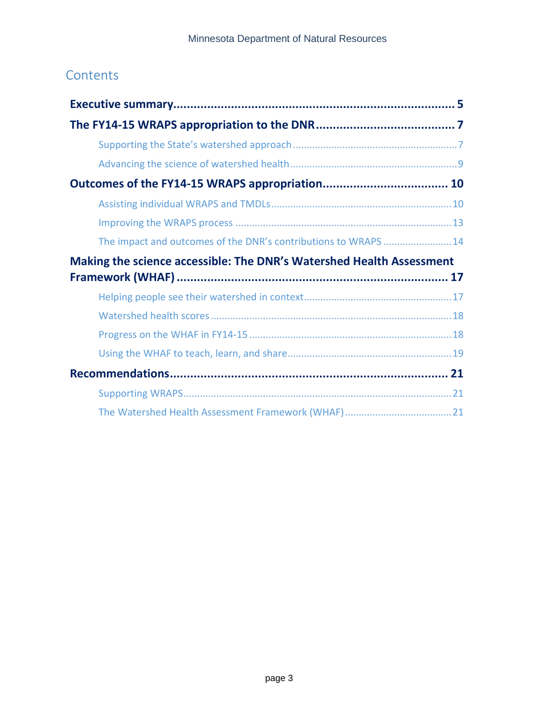### **Contents**

| The impact and outcomes of the DNR's contributions to WRAPS14        |  |
|----------------------------------------------------------------------|--|
| Making the science accessible: The DNR's Watershed Health Assessment |  |
|                                                                      |  |
|                                                                      |  |
|                                                                      |  |
|                                                                      |  |
|                                                                      |  |
|                                                                      |  |
|                                                                      |  |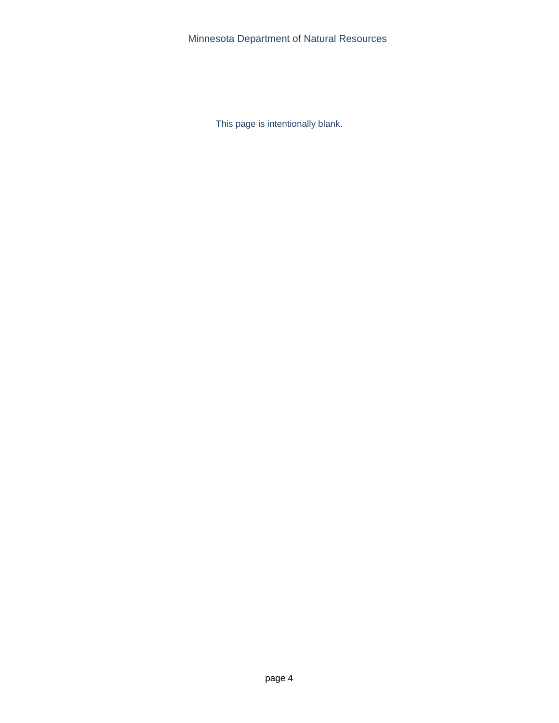This page is intentionally blank.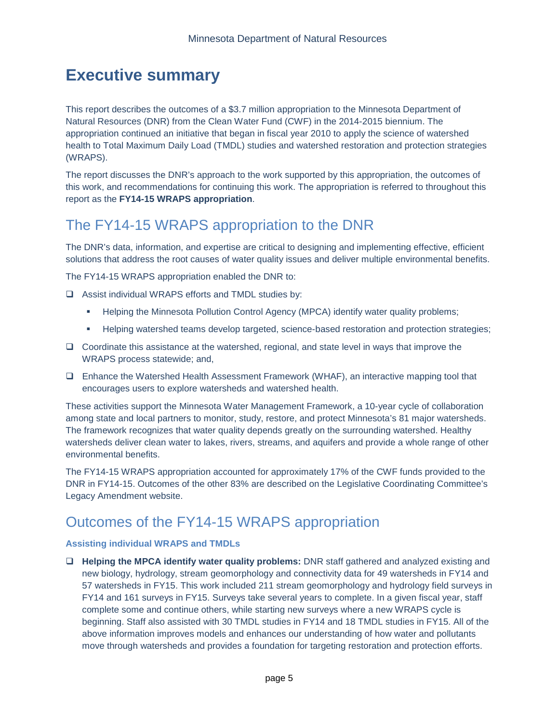# <span id="page-4-0"></span>**Executive summary**

This report describes the outcomes of a \$3.7 million appropriation to the Minnesota Department of Natural Resources (DNR) from the Clean Water Fund (CWF) in the 2014-2015 biennium. The appropriation continued an initiative that began in fiscal year 2010 to apply the science of watershed health to Total Maximum Daily Load (TMDL) studies and watershed restoration and protection strategies (WRAPS).

The report discusses the DNR's approach to the work supported by this appropriation, the outcomes of this work, and recommendations for continuing this work. The appropriation is referred to throughout this report as the **FY14-15 WRAPS appropriation**.

### The FY14-15 WRAPS appropriation to the DNR

The DNR's data, information, and expertise are critical to designing and implementing effective, efficient solutions that address the root causes of water quality issues and deliver multiple environmental benefits.

The FY14-15 WRAPS appropriation enabled the DNR to:

- □ Assist individual WRAPS efforts and TMDL studies by:
	- Helping the Minnesota Pollution Control Agency (MPCA) identify water quality problems;
	- Helping watershed teams develop targeted, science-based restoration and protection strategies;
- $\Box$  Coordinate this assistance at the watershed, regional, and state level in ways that improve the WRAPS process statewide; and,
- Enhance the Watershed Health Assessment Framework (WHAF), an interactive mapping tool that encourages users to explore watersheds and watershed health.

These activities support the Minnesota Water Management Framework, a 10-year cycle of collaboration among state and local partners to monitor, study, restore, and protect Minnesota's 81 major watersheds. The framework recognizes that water quality depends greatly on the surrounding watershed. Healthy watersheds deliver clean water to lakes, rivers, streams, and aquifers and provide a whole range of other environmental benefits.

The FY14-15 WRAPS appropriation accounted for approximately 17% of the CWF funds provided to the DNR in FY14-15. Outcomes of the other 83% are described on the Legislative Coordinating Committee's Legacy Amendment website.

### Outcomes of the FY14-15 WRAPS appropriation

#### **Assisting individual WRAPS and TMDLs**

 **Helping the MPCA identify water quality problems:** DNR staff gathered and analyzed existing and new biology, hydrology, stream geomorphology and connectivity data for 49 watersheds in FY14 and 57 watersheds in FY15. This work included 211 stream geomorphology and hydrology field surveys in FY14 and 161 surveys in FY15. Surveys take several years to complete. In a given fiscal year, staff complete some and continue others, while starting new surveys where a new WRAPS cycle is beginning. Staff also assisted with 30 TMDL studies in FY14 and 18 TMDL studies in FY15. All of the above information improves models and enhances our understanding of how water and pollutants move through watersheds and provides a foundation for targeting restoration and protection efforts.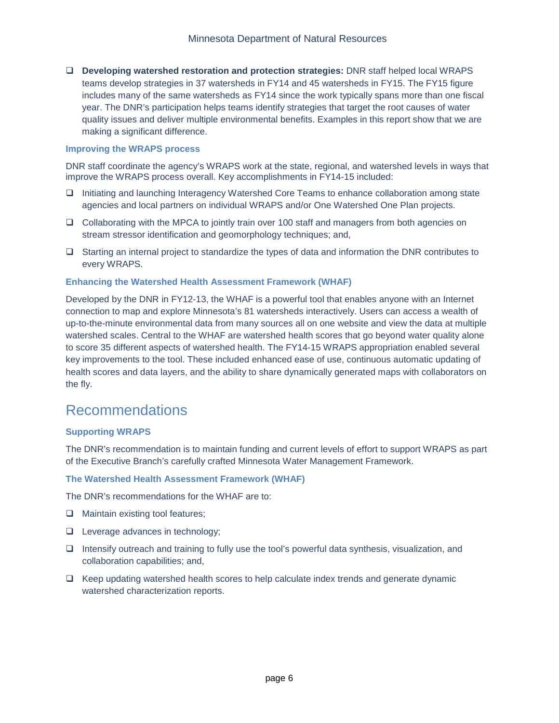**Developing watershed restoration and protection strategies:** DNR staff helped local WRAPS teams develop strategies in 37 watersheds in FY14 and 45 watersheds in FY15. The FY15 figure includes many of the same watersheds as FY14 since the work typically spans more than one fiscal year. The DNR's participation helps teams identify strategies that target the root causes of water quality issues and deliver multiple environmental benefits. Examples in this report show that we are making a significant difference.

#### **Improving the WRAPS process**

DNR staff coordinate the agency's WRAPS work at the state, regional, and watershed levels in ways that improve the WRAPS process overall. Key accomplishments in FY14-15 included:

- Initiating and launching Interagency Watershed Core Teams to enhance collaboration among state agencies and local partners on individual WRAPS and/or One Watershed One Plan projects.
- $\Box$  Collaborating with the MPCA to jointly train over 100 staff and managers from both agencies on stream stressor identification and geomorphology techniques; and,
- $\Box$  Starting an internal project to standardize the types of data and information the DNR contributes to every WRAPS.

#### **Enhancing the Watershed Health Assessment Framework (WHAF)**

Developed by the DNR in FY12-13, the WHAF is a powerful tool that enables anyone with an Internet connection to map and explore Minnesota's 81 watersheds interactively. Users can access a wealth of up-to-the-minute environmental data from many sources all on one website and view the data at multiple watershed scales. Central to the WHAF are watershed health scores that go beyond water quality alone to score 35 different aspects of watershed health. The FY14-15 WRAPS appropriation enabled several key improvements to the tool. These included enhanced ease of use, continuous automatic updating of health scores and data layers, and the ability to share dynamically generated maps with collaborators on the fly.

### Recommendations

#### **Supporting WRAPS**

The DNR's recommendation is to maintain funding and current levels of effort to support WRAPS as part of the Executive Branch's carefully crafted Minnesota Water Management Framework.

#### **The Watershed Health Assessment Framework (WHAF)**

The DNR's recommendations for the WHAF are to:

- $\Box$  Maintain existing tool features:
- **Leverage advances in technology;**
- $\Box$  Intensify outreach and training to fully use the tool's powerful data synthesis, visualization, and collaboration capabilities; and,
- $\Box$  Keep updating watershed health scores to help calculate index trends and generate dynamic watershed characterization reports.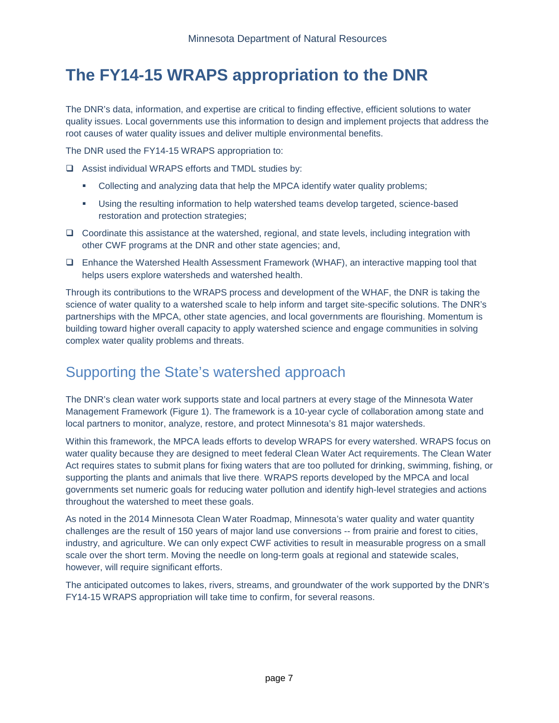# <span id="page-6-0"></span>**The FY14-15 WRAPS appropriation to the DNR**

The DNR's data, information, and expertise are critical to finding effective, efficient solutions to water quality issues. Local governments use this information to design and implement projects that address the root causes of water quality issues and deliver multiple environmental benefits.

The DNR used the FY14-15 WRAPS appropriation to:

- $\Box$  Assist individual WRAPS efforts and TMDL studies by:
	- Collecting and analyzing data that help the MPCA identify water quality problems;
	- Using the resulting information to help watershed teams develop targeted, science-based restoration and protection strategies;
- $\Box$  Coordinate this assistance at the watershed, regional, and state levels, including integration with other CWF programs at the DNR and other state agencies; and,
- Enhance the Watershed Health Assessment Framework (WHAF), an interactive mapping tool that helps users explore watersheds and watershed health.

Through its contributions to the WRAPS process and development of the WHAF, the DNR is taking the science of water quality to a watershed scale to help inform and target site-specific solutions. The DNR's partnerships with the MPCA, other state agencies, and local governments are flourishing. Momentum is building toward higher overall capacity to apply watershed science and engage communities in solving complex water quality problems and threats.

### <span id="page-6-1"></span>Supporting the State's watershed approach

The DNR's clean water work supports state and local partners at every stage of the Minnesota Water Management Framework (Figure 1). The framework is a 10-year cycle of collaboration among state and local partners to monitor, analyze, restore, and protect Minnesota's 81 major watersheds.

Within this framework, the MPCA leads efforts to develop WRAPS for every watershed. WRAPS focus on water quality because they are designed to meet federal Clean Water Act requirements. The Clean Water Act requires states to submit plans for fixing waters that are too polluted for drinking, swimming, fishing, or supporting the plants and animals that live there. WRAPS reports developed by the MPCA and local governments set numeric goals for reducing water pollution and identify high-level strategies and actions throughout the watershed to meet these goals.

As noted in the 2014 Minnesota Clean Water Roadmap, Minnesota's water quality and water quantity challenges are the result of 150 years of major land use conversions -- from prairie and forest to cities, industry, and agriculture. We can only expect CWF activities to result in measurable progress on a small scale over the short term. Moving the needle on long-term goals at regional and statewide scales, however, will require significant efforts.

The anticipated outcomes to lakes, rivers, streams, and groundwater of the work supported by the DNR's FY14-15 WRAPS appropriation will take time to confirm, for several reasons.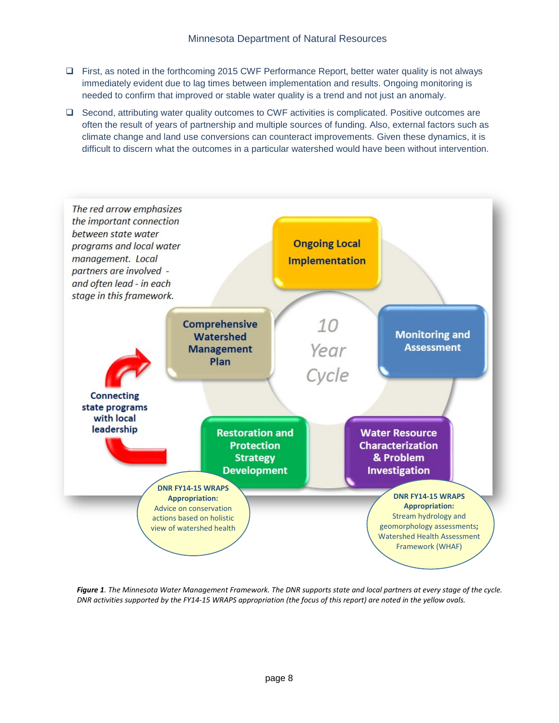- □ First, as noted in the forthcoming 2015 CWF Performance Report, better water quality is not always immediately evident due to lag times between implementation and results. Ongoing monitoring is needed to confirm that improved or stable water quality is a trend and not just an anomaly.
- $\Box$  Second, attributing water quality outcomes to CWF activities is complicated. Positive outcomes are often the result of years of partnership and multiple sources of funding. Also, external factors such as climate change and land use conversions can counteract improvements. Given these dynamics, it is difficult to discern what the outcomes in a particular watershed would have been without intervention.



*Figure 1. The Minnesota Water Management Framework. The DNR supports state and local partners at every stage of the cycle. DNR activities supported by the FY14-15 WRAPS appropriation (the focus of this report) are noted in the yellow ovals.*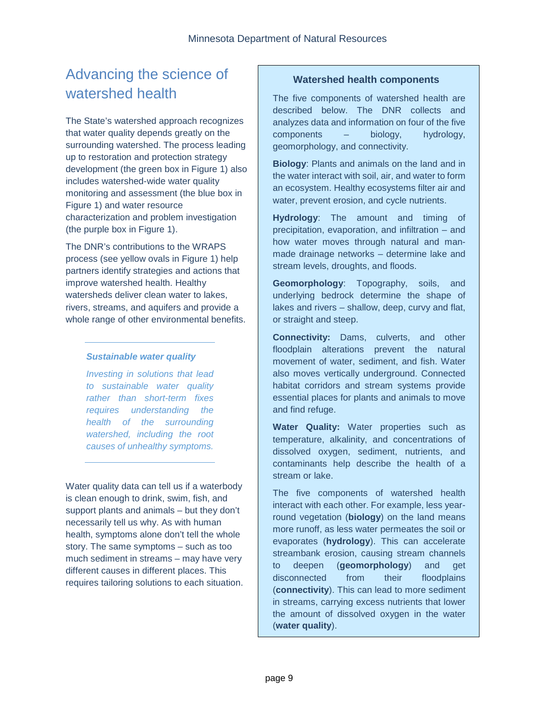## <span id="page-8-0"></span>Advancing the science of watershed health

The State's watershed approach recognizes that water quality depends greatly on the surrounding watershed. The process leading up to restoration and protection strategy development (the green box in Figure 1) also includes watershed-wide water quality monitoring and assessment (the blue box in Figure 1) and water resource characterization and problem investigation (the purple box in Figure 1).

The DNR's contributions to the WRAPS process (see yellow ovals in Figure 1) help partners identify strategies and actions that improve watershed health. Healthy watersheds deliver clean water to lakes, rivers, streams, and aquifers and provide a whole range of other environmental benefits.

#### *Sustainable water quality*

*Investing in solutions that lead to sustainable water quality rather than short-term fixes requires understanding the health of the surrounding watershed, including the root causes of unhealthy symptoms.*

Water quality data can tell us if a waterbody is clean enough to drink, swim, fish, and support plants and animals – but they don't necessarily tell us why. As with human health, symptoms alone don't tell the whole story. The same symptoms – such as too much sediment in streams – may have very different causes in different places. This requires tailoring solutions to each situation.

#### **Watershed health components**

The five components of watershed health are described below. The DNR collects and analyzes data and information on four of the five components – biology, hydrology, geomorphology, and connectivity.

**Biology**: Plants and animals on the land and in the water interact with soil, air, and water to form an ecosystem. Healthy ecosystems filter air and water, prevent erosion, and cycle nutrients.

**Hydrology**: The amount and timing of precipitation, evaporation, and infiltration – and how water moves through natural and manmade drainage networks – determine lake and stream levels, droughts, and floods.

**Geomorphology**: Topography, soils, and underlying bedrock determine the shape of lakes and rivers – shallow, deep, curvy and flat, or straight and steep.

**Connectivity:** Dams, culverts, and other floodplain alterations prevent the natural movement of water, sediment, and fish. Water also moves vertically underground. Connected habitat corridors and stream systems provide essential places for plants and animals to move and find refuge.

**Water Quality:** Water properties such as temperature, alkalinity, and concentrations of dissolved oxygen, sediment, nutrients, and contaminants help describe the health of a stream or lake.

The five components of watershed health interact with each other. For example, less yearround vegetation (**biology**) on the land means more runoff, as less water permeates the soil or evaporates (**hydrology**). This can accelerate streambank erosion, causing stream channels to deepen (**geomorphology**) and get disconnected from their floodplains (**connectivity**). This can lead to more sediment in streams, carrying excess nutrients that lower the amount of dissolved oxygen in the water (**water quality**).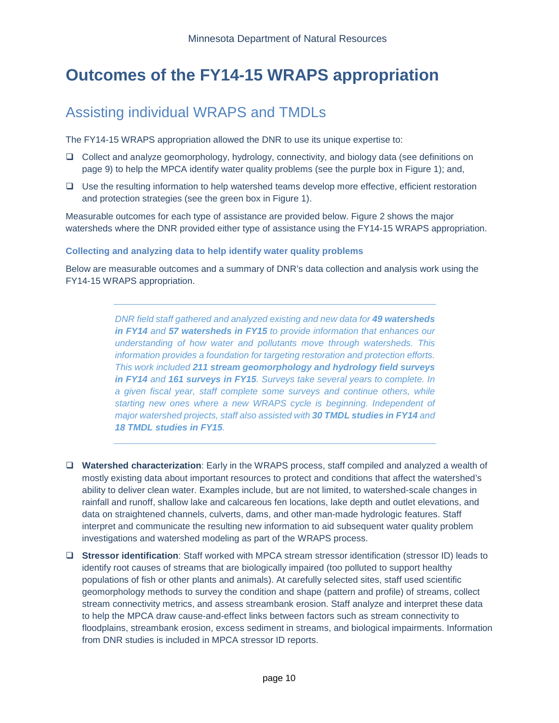# <span id="page-9-0"></span>**Outcomes of the FY14-15 WRAPS appropriation**

## <span id="page-9-1"></span>Assisting individual WRAPS and TMDLs

The FY14-15 WRAPS appropriation allowed the DNR to use its unique expertise to:

- $\Box$  Collect and analyze geomorphology, hydrology, connectivity, and biology data (see definitions on page 9) to help the MPCA identify water quality problems (see the purple box in Figure 1); and,
- $\Box$  Use the resulting information to help watershed teams develop more effective, efficient restoration and protection strategies (see the green box in Figure 1).

Measurable outcomes for each type of assistance are provided below. Figure 2 shows the major watersheds where the DNR provided either type of assistance using the FY14-15 WRAPS appropriation.

#### **Collecting and analyzing data to help identify water quality problems**

Below are measurable outcomes and a summary of DNR's data collection and analysis work using the FY14-15 WRAPS appropriation.

> *DNR field staff gathered and analyzed existing and new data for 49 watersheds in FY14 and 57 watersheds in FY15 to provide information that enhances our understanding of how water and pollutants move through watersheds. This information provides a foundation for targeting restoration and protection efforts. This work included 211 stream geomorphology and hydrology field surveys in FY14 and 161 surveys in FY15. Surveys take several years to complete. In a given fiscal year, staff complete some surveys and continue others, while starting new ones where a new WRAPS cycle is beginning. Independent of major watershed projects, staff also assisted with 30 TMDL studies in FY14 and 18 TMDL studies in FY15.*

- **Watershed characterization**: Early in the WRAPS process, staff compiled and analyzed a wealth of mostly existing data about important resources to protect and conditions that affect the watershed's ability to deliver clean water. Examples include, but are not limited, to watershed-scale changes in rainfall and runoff, shallow lake and calcareous fen locations, lake depth and outlet elevations, and data on straightened channels, culverts, dams, and other man-made hydrologic features. Staff interpret and communicate the resulting new information to aid subsequent water quality problem investigations and watershed modeling as part of the WRAPS process.
- **Stressor identification**: Staff worked with MPCA stream stressor identification (stressor ID) leads to identify root causes of streams that are biologically impaired (too polluted to support healthy populations of fish or other plants and animals). At carefully selected sites, staff used scientific geomorphology methods to survey the condition and shape (pattern and profile) of streams, collect stream connectivity metrics, and assess streambank erosion. Staff analyze and interpret these data to help the MPCA draw cause-and-effect links between factors such as stream connectivity to floodplains, streambank erosion, excess sediment in streams, and biological impairments. Information from DNR studies is included in MPCA stressor ID reports.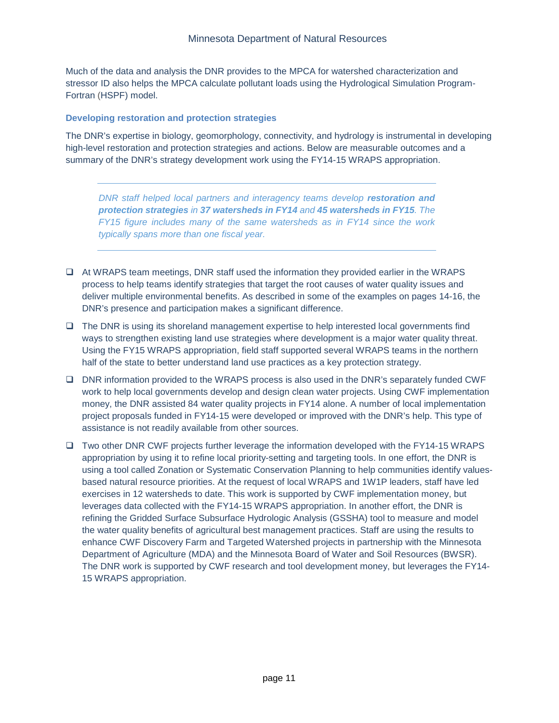Much of the data and analysis the DNR provides to the MPCA for watershed characterization and stressor ID also helps the MPCA calculate pollutant loads using the Hydrological Simulation Program-Fortran (HSPF) model.

#### **Developing restoration and protection strategies**

The DNR's expertise in biology, geomorphology, connectivity, and hydrology is instrumental in developing high-level restoration and protection strategies and actions. Below are measurable outcomes and a summary of the DNR's strategy development work using the FY14-15 WRAPS appropriation.

*DNR staff helped local partners and interagency teams develop restoration and protection strategies in 37 watersheds in FY14 and 45 watersheds in FY15. The FY15 figure includes many of the same watersheds as in FY14 since the work typically spans more than one fiscal year.*

- At WRAPS team meetings, DNR staff used the information they provided earlier in the WRAPS process to help teams identify strategies that target the root causes of water quality issues and deliver multiple environmental benefits. As described in some of the examples on pages 14-16, the DNR's presence and participation makes a significant difference.
- $\Box$  The DNR is using its shoreland management expertise to help interested local governments find ways to strengthen existing land use strategies where development is a major water quality threat. Using the FY15 WRAPS appropriation, field staff supported several WRAPS teams in the northern half of the state to better understand land use practices as a key protection strategy.
- DNR information provided to the WRAPS process is also used in the DNR's separately funded CWF work to help local governments develop and design clean water projects. Using CWF implementation money, the DNR assisted 84 water quality projects in FY14 alone. A number of local implementation project proposals funded in FY14-15 were developed or improved with the DNR's help. This type of assistance is not readily available from other sources.
- □ Two other DNR CWF projects further leverage the information developed with the FY14-15 WRAPS appropriation by using it to refine local priority-setting and targeting tools. In one effort, the DNR is using a tool called Zonation or Systematic Conservation Planning to help communities identify valuesbased natural resource priorities. At the request of local WRAPS and 1W1P leaders, staff have led exercises in 12 watersheds to date. This work is supported by CWF implementation money, but leverages data collected with the FY14-15 WRAPS appropriation. In another effort, the DNR is refining the Gridded Surface Subsurface Hydrologic Analysis (GSSHA) tool to measure and model the water quality benefits of agricultural best management practices. Staff are using the results to enhance CWF Discovery Farm and Targeted Watershed projects in partnership with the Minnesota Department of Agriculture (MDA) and the Minnesota Board of Water and Soil Resources (BWSR). The DNR work is supported by CWF research and tool development money, but leverages the FY14- 15 WRAPS appropriation.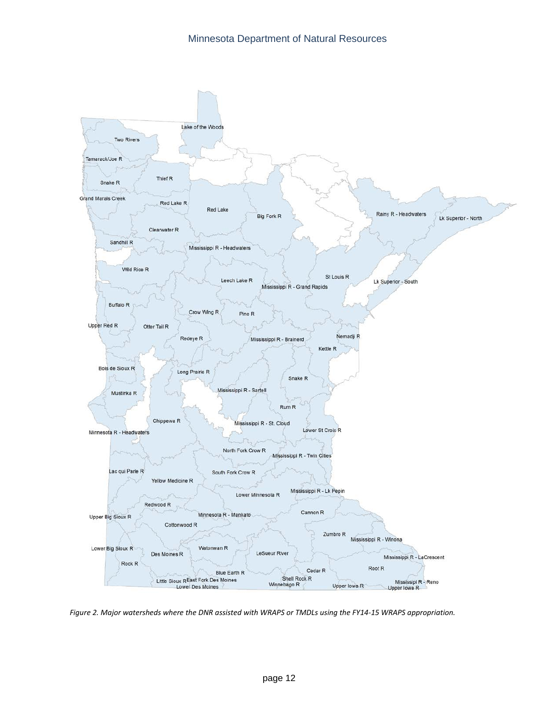

*Figure 2. Major watersheds where the DNR assisted with WRAPS or TMDLs using the FY14-15 WRAPS appropriation.*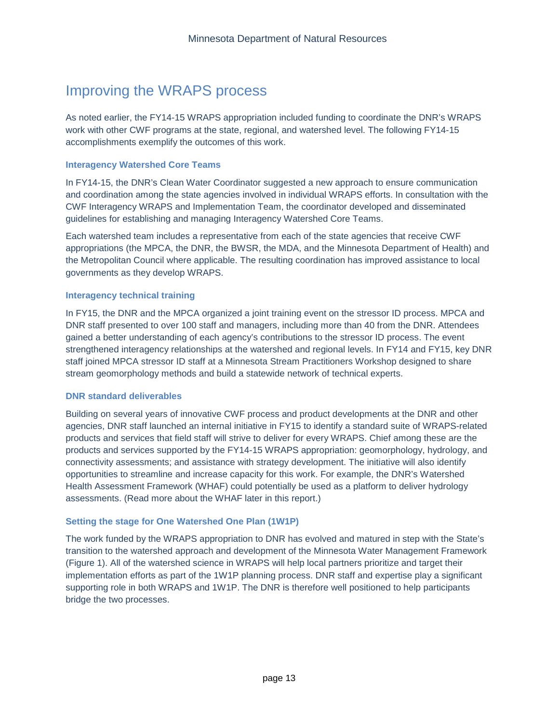## <span id="page-12-0"></span>Improving the WRAPS process

As noted earlier, the FY14-15 WRAPS appropriation included funding to coordinate the DNR's WRAPS work with other CWF programs at the state, regional, and watershed level. The following FY14-15 accomplishments exemplify the outcomes of this work.

#### **Interagency Watershed Core Teams**

In FY14-15, the DNR's Clean Water Coordinator suggested a new approach to ensure communication and coordination among the state agencies involved in individual WRAPS efforts. In consultation with the CWF Interagency WRAPS and Implementation Team, the coordinator developed and disseminated guidelines for establishing and managing Interagency Watershed Core Teams.

Each watershed team includes a representative from each of the state agencies that receive CWF appropriations (the MPCA, the DNR, the BWSR, the MDA, and the Minnesota Department of Health) and the Metropolitan Council where applicable. The resulting coordination has improved assistance to local governments as they develop WRAPS.

#### **Interagency technical training**

In FY15, the DNR and the MPCA organized a joint training event on the stressor ID process. MPCA and DNR staff presented to over 100 staff and managers, including more than 40 from the DNR. Attendees gained a better understanding of each agency's contributions to the stressor ID process. The event strengthened interagency relationships at the watershed and regional levels. In FY14 and FY15, key DNR staff joined MPCA stressor ID staff at a Minnesota Stream Practitioners Workshop designed to share stream geomorphology methods and build a statewide network of technical experts.

#### **DNR standard deliverables**

Building on several years of innovative CWF process and product developments at the DNR and other agencies, DNR staff launched an internal initiative in FY15 to identify a standard suite of WRAPS-related products and services that field staff will strive to deliver for every WRAPS. Chief among these are the products and services supported by the FY14-15 WRAPS appropriation: geomorphology, hydrology, and connectivity assessments; and assistance with strategy development. The initiative will also identify opportunities to streamline and increase capacity for this work. For example, the DNR's Watershed Health Assessment Framework (WHAF) could potentially be used as a platform to deliver hydrology assessments. (Read more about the WHAF later in this report.)

#### **Setting the stage for One Watershed One Plan (1W1P)**

The work funded by the WRAPS appropriation to DNR has evolved and matured in step with the State's transition to the watershed approach and development of the Minnesota Water Management Framework (Figure 1). All of the watershed science in WRAPS will help local partners prioritize and target their implementation efforts as part of the 1W1P planning process. DNR staff and expertise play a significant supporting role in both WRAPS and 1W1P. The DNR is therefore well positioned to help participants bridge the two processes.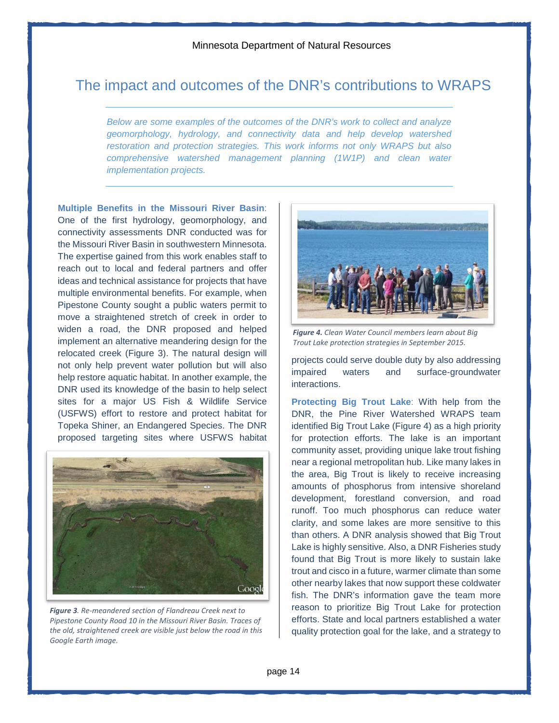### <span id="page-13-0"></span>The impact and outcomes of the DNR's contributions to WRAPS

*Below are some examples of the outcomes of the DNR's work to collect and analyze geomorphology, hydrology, and connectivity data and help develop watershed restoration and protection strategies. This work informs not only WRAPS but also comprehensive watershed management planning (1W1P) and clean water implementation projects.*

**Multiple Benefits in the Missouri River Basin**: One of the first hydrology, geomorphology, and connectivity assessments DNR conducted was for the Missouri River Basin in southwestern Minnesota. The expertise gained from this work enables staff to reach out to local and federal partners and offer ideas and technical assistance for projects that have multiple environmental benefits. For example, when Pipestone County sought a public waters permit to move a straightened stretch of creek in order to widen a road, the DNR proposed and helped implement an alternative meandering design for the relocated creek (Figure 3). The natural design will not only help prevent water pollution but will also help restore aquatic habitat. In another example, the DNR used its knowledge of the basin to help select sites for a major US Fish & Wildlife Service (USFWS) effort to restore and protect habitat for Topeka Shiner, an Endangered Species. The DNR proposed targeting sites where USFWS habitat



*Figure 3. Re-meandered section of Flandreau Creek next to Pipestone County Road 10 in the Missouri River Basin. Traces of the old, straightened creek are visible just below the road in this Google Earth image.*



*Figure 4. Clean Water Council members learn about Big Trout Lake protection strategies in September 2015.*

projects could serve double duty by also addressing impaired waters and surface-groundwater interactions.

**Protecting Big Trout Lake**: With help from the DNR, the Pine River Watershed WRAPS team identified Big Trout Lake (Figure 4) as a high priority for protection efforts. The lake is an important community asset, providing unique lake trout fishing near a regional metropolitan hub. Like many lakes in the area, Big Trout is likely to receive increasing amounts of phosphorus from intensive shoreland development, forestland conversion, and road runoff. Too much phosphorus can reduce water clarity, and some lakes are more sensitive to this than others. A DNR analysis showed that Big Trout Lake is highly sensitive. Also, a DNR Fisheries study found that Big Trout is more likely to sustain lake trout and cisco in a future, warmer climate than some other nearby lakes that now support these coldwater fish. The DNR's information gave the team more reason to prioritize Big Trout Lake for protection efforts. State and local partners established a water quality protection goal for the lake, and a strategy to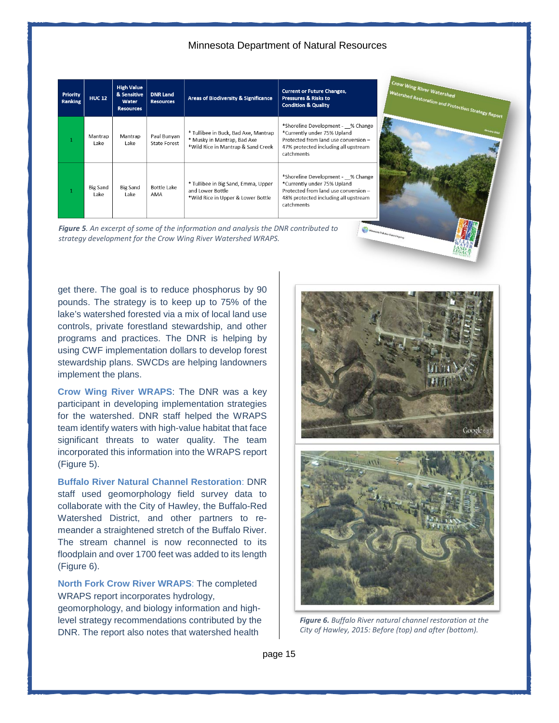| <b>Priority</b><br>Ranking | <b>HUC 12</b>           | <b>High Value</b><br>& Sensitive<br>Water<br><b>Resources</b> | <b>DNR Land</b><br><b>Resources</b> | <b>Areas of Biodiversity &amp; Significance</b>                                                           | <b>Current or Future Changes,</b><br><b>Pressures &amp; Risks to</b><br><b>Condition &amp; Quality</b>                                                         | Crow Wi<br>Natershee |
|----------------------------|-------------------------|---------------------------------------------------------------|-------------------------------------|-----------------------------------------------------------------------------------------------------------|----------------------------------------------------------------------------------------------------------------------------------------------------------------|----------------------|
|                            | Mantrap<br>Lake         | Mantrap<br>Lake                                               | Paul Bunyan<br>State Forest         | * Tullibee in Buck, Bad Axe, Mantrap<br>* Musky in Mantrap, Bad Axe<br>*Wild Rice in Mantrap & Sand Creek | *Shoreline Development - % Change<br>*Currently under 75% Upland<br>Protected from land use conversion -<br>47% protected including all upstream<br>catchments |                      |
|                            | <b>Big Sand</b><br>Lake | <b>Big Sand</b><br>Lake                                       | <b>Bottle Lake</b><br>AMA           | * Tullibee in Big Sand, Emma, Upper<br>and Lower Bottle<br>*Wild Rice in Upper & Lower Bottle             | *Shoreline Development - % Change<br>*Currently under 75% Upland<br>Protected from land use conversion -<br>48% protected including all upstream<br>catchments |                      |



get there. The goal is to reduce phosphorus by 90 pounds. The strategy is to keep up to 75% of the lake's watershed forested via a mix of local land use controls, private forestland stewardship, and other programs and practices. The DNR is helping by using CWF implementation dollars to develop forest stewardship plans. SWCDs are helping landowners implement the plans.

**Crow Wing River WRAPS**: The DNR was a key participant in developing implementation strategies for the watershed. DNR staff helped the WRAPS team identify waters with high-value habitat that face significant threats to water quality. The team incorporated this information into the WRAPS report (Figure 5).

**Buffalo River Natural Channel Restoration**: DNR staff used geomorphology field survey data to collaborate with the City of Hawley, the Buffalo-Red Watershed District, and other partners to remeander a straightened stretch of the Buffalo River. The stream channel is now reconnected to its floodplain and over 1700 feet was added to its length (Figure 6).

**North Fork Crow River WRAPS**: The completed WRAPS report incorporates hydrology,

geomorphology, and biology information and highlevel strategy recommendations contributed by the DNR. The report also notes that watershed health



River Wate



*Figure 6. Buffalo River natural channel restoration at the City of Hawley, 2015: Before (top) and after (bottom).*

page 15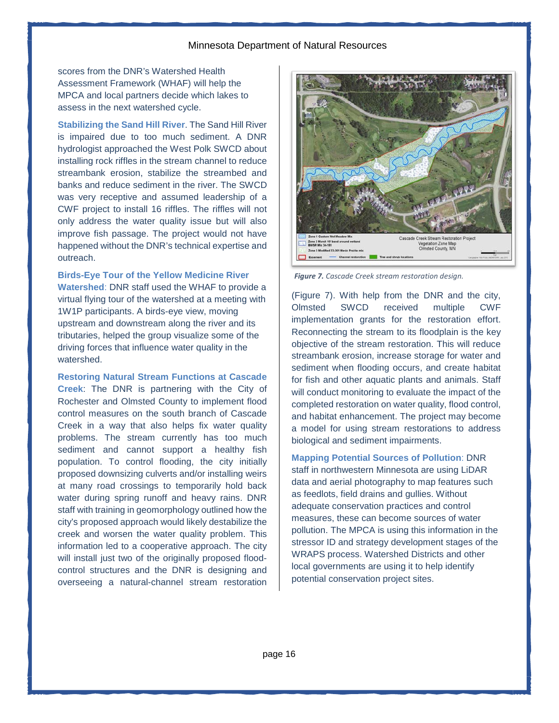scores from the DNR's Watershed Health Assessment Framework (WHAF) will help the MPCA and local partners decide which lakes to assess in the next watershed cycle.

**Stabilizing the Sand Hill River**. The Sand Hill River is impaired due to too much sediment. A DNR hydrologist approached the West Polk SWCD about installing rock riffles in the stream channel to reduce streambank erosion, stabilize the streambed and banks and reduce sediment in the river. The SWCD was very receptive and assumed leadership of a CWF project to install 16 riffles. The riffles will not only address the water quality issue but will also improve fish passage. The project would not have happened without the DNR's technical expertise and outreach.

**Birds-Eye Tour of the Yellow Medicine River Watershed**: DNR staff used the WHAF to provide a virtual flying tour of the watershed at a meeting with 1W1P participants. A birds-eye view, moving upstream and downstream along the river and its tributaries, helped the group visualize some of the driving forces that influence water quality in the watershed.

**Restoring Natural Stream Functions at Cascade Creek**: The DNR is partnering with the City of Rochester and Olmsted County to implement flood control measures on the south branch of Cascade Creek in a way that also helps fix water quality problems. The stream currently has too much sediment and cannot support a healthy fish population. To control flooding, the city initially proposed downsizing culverts and/or installing weirs at many road crossings to temporarily hold back water during spring runoff and heavy rains. DNR staff with training in geomorphology outlined how the city's proposed approach would likely destabilize the creek and worsen the water quality problem. This information led to a cooperative approach. The city will install just two of the originally proposed floodcontrol structures and the DNR is designing and overseeing a natural-channel stream restoration



*Figure 7. Cascade Creek stream restoration design.*

(Figure 7). With help from the DNR and the city, Olmsted SWCD received multiple CWF implementation grants for the restoration effort. Reconnecting the stream to its floodplain is the key objective of the stream restoration. This will reduce streambank erosion, increase storage for water and sediment when flooding occurs, and create habitat for fish and other aquatic plants and animals. Staff will conduct monitoring to evaluate the impact of the completed restoration on water quality, flood control, and habitat enhancement. The project may become a model for using stream restorations to address biological and sediment impairments.

**Mapping Potential Sources of Pollution**: DNR staff in northwestern Minnesota are using LiDAR data and aerial photography to map features such as feedlots, field drains and gullies. Without adequate conservation practices and control measures, these can become sources of water pollution. The MPCA is using this information in the stressor ID and strategy development stages of the WRAPS process. Watershed Districts and other local governments are using it to help identify potential conservation project sites.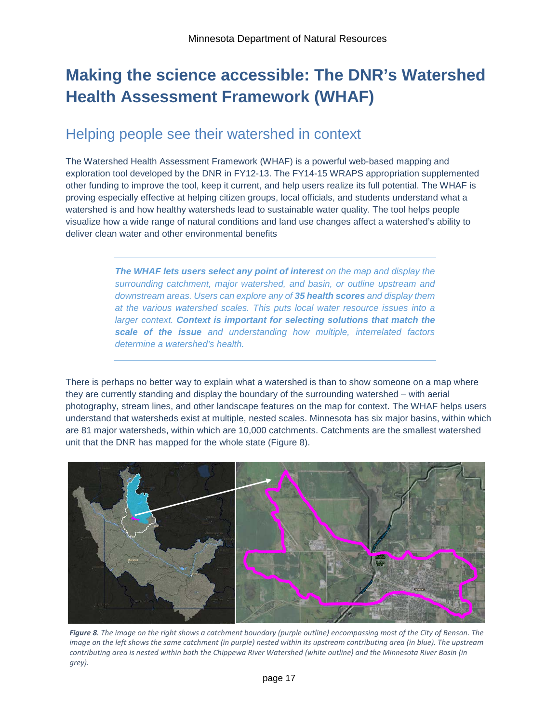# <span id="page-16-0"></span>**Making the science accessible: The DNR's Watershed Health Assessment Framework (WHAF)**

### <span id="page-16-1"></span>Helping people see their watershed in context

The Watershed Health Assessment Framework (WHAF) is a powerful web-based mapping and exploration tool developed by the DNR in FY12-13. The FY14-15 WRAPS appropriation supplemented other funding to improve the tool, keep it current, and help users realize its full potential. The WHAF is proving especially effective at helping citizen groups, local officials, and students understand what a watershed is and how healthy watersheds lead to sustainable water quality. The tool helps people visualize how a wide range of natural conditions and land use changes affect a watershed's ability to deliver clean water and other environmental benefits

> *The WHAF lets users select any point of interest on the map and display the surrounding catchment, major watershed, and basin, or outline upstream and downstream areas. Users can explore any of 35 health scores and display them at the various watershed scales. This puts local water resource issues into a larger context. Context is important for selecting solutions that match the scale of the issue and understanding how multiple, interrelated factors determine a watershed's health.*

There is perhaps no better way to explain what a watershed is than to show someone on a map where they are currently standing and display the boundary of the surrounding watershed – with aerial photography, stream lines, and other landscape features on the map for context. The WHAF helps users understand that watersheds exist at multiple, nested scales. Minnesota has six major basins, within which are 81 major watersheds, within which are 10,000 catchments. Catchments are the smallest watershed unit that the DNR has mapped for the whole state (Figure 8).



*Figure 8. The image on the right shows a catchment boundary (purple outline) encompassing most of the City of Benson. The image on the left shows the same catchment (in purple) nested within its upstream contributing area (in blue). The upstream contributing area is nested within both the Chippewa River Watershed (white outline) and the Minnesota River Basin (in grey).*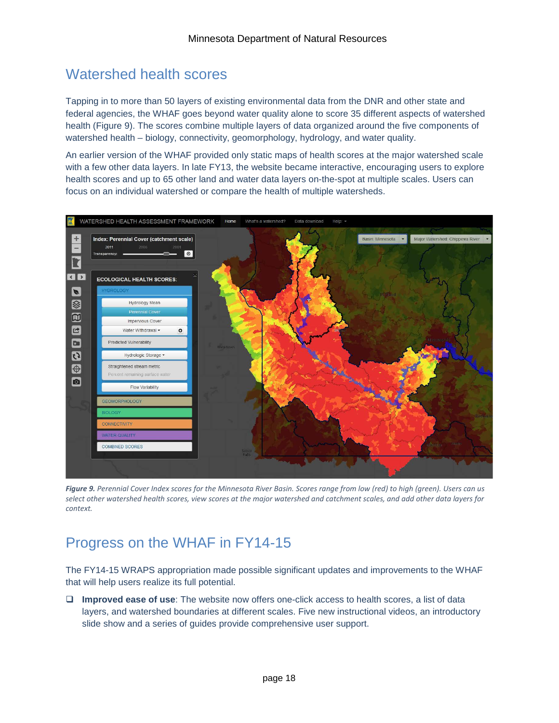### <span id="page-17-0"></span>Watershed health scores

Tapping in to more than 50 layers of existing environmental data from the DNR and other state and federal agencies, the WHAF goes beyond water quality alone to score 35 different aspects of watershed health (Figure 9). The scores combine multiple layers of data organized around the five components of watershed health – biology, connectivity, geomorphology, hydrology, and water quality.

An earlier version of the WHAF provided only static maps of health scores at the major watershed scale with a few other data layers. In late FY13, the website became interactive, encouraging users to explore health scores and up to 65 other land and water data layers on-the-spot at multiple scales. Users can focus on an individual watershed or compare the health of multiple watersheds.



*Figure 9. Perennial Cover Index scores for the Minnesota River Basin. Scores range from low (red) to high (green). Users can us select other watershed health scores, view scores at the major watershed and catchment scales, and add other data layers for context.*

## <span id="page-17-1"></span>Progress on the WHAF in FY14-15

The FY14-15 WRAPS appropriation made possible significant updates and improvements to the WHAF that will help users realize its full potential.

 **Improved ease of use**: The website now offers one-click access to health scores, a list of data layers, and watershed boundaries at different scales. Five new instructional videos, an introductory slide show and a series of guides provide comprehensive user support.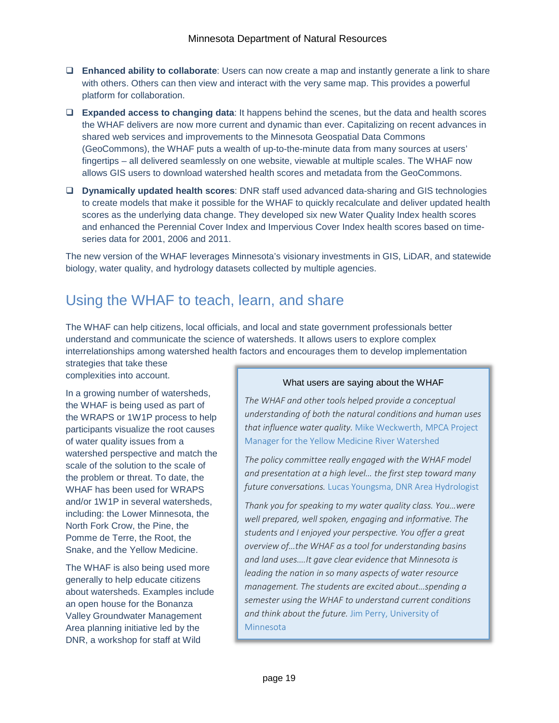- **Enhanced ability to collaborate**: Users can now create a map and instantly generate a link to share with others. Others can then view and interact with the very same map. This provides a powerful platform for collaboration.
- **Expanded access to changing data**: It happens behind the scenes, but the data and health scores the WHAF delivers are now more current and dynamic than ever. Capitalizing on recent advances in shared web services and improvements to the Minnesota Geospatial Data Commons (GeoCommons), the WHAF puts a wealth of up-to-the-minute data from many sources at users' fingertips – all delivered seamlessly on one website, viewable at multiple scales. The WHAF now allows GIS users to download watershed health scores and metadata from the GeoCommons.
- **Dynamically updated health scores**: DNR staff used advanced data-sharing and GIS technologies to create models that make it possible for the WHAF to quickly recalculate and deliver updated health scores as the underlying data change. They developed six new Water Quality Index health scores and enhanced the Perennial Cover Index and Impervious Cover Index health scores based on timeseries data for 2001, 2006 and 2011.

The new version of the WHAF leverages Minnesota's visionary investments in GIS, LiDAR, and statewide biology, water quality, and hydrology datasets collected by multiple agencies.

### <span id="page-18-0"></span>Using the WHAF to teach, learn, and share

The WHAF can help citizens, local officials, and local and state government professionals better understand and communicate the science of watersheds. It allows users to explore complex interrelationships among watershed health factors and encourages them to develop implementation

strategies that take these complexities into account.

In a growing number of watersheds, the WHAF is being used as part of the WRAPS or 1W1P process to help participants visualize the root causes of water quality issues from a watershed perspective and match the scale of the solution to the scale of the problem or threat. To date, the WHAF has been used for WRAPS and/or 1W1P in several watersheds, including: the Lower Minnesota, the North Fork Crow, the Pine, the Pomme de Terre, the Root, the Snake, and the Yellow Medicine.

The WHAF is also being used more generally to help educate citizens about watersheds. Examples include an open house for the Bonanza Valley Groundwater Management Area planning initiative led by the DNR, a workshop for staff at Wild

#### What users are saying about the WHAF

*The WHAF and other tools helped provide a conceptual understanding of both the natural conditions and human uses that influence water quality.* Mike Weckwerth, MPCA Project Manager for the Yellow Medicine River Watershed

*The policy committee really engaged with the WHAF model and presentation at a high level… the first step toward many future conversations.* Lucas Youngsma, DNR Area Hydrologist

*Thank you for speaking to my water quality class. You…were well prepared, well spoken, engaging and informative. The students and I enjoyed your perspective. You offer a great overview of…the WHAF as a tool for understanding basins and land uses….It gave clear evidence that Minnesota is leading the nation in so many aspects of water resource management. The students are excited about…spending a semester using the WHAF to understand current conditions and think about the future.* Jim Perry, University of Minnesota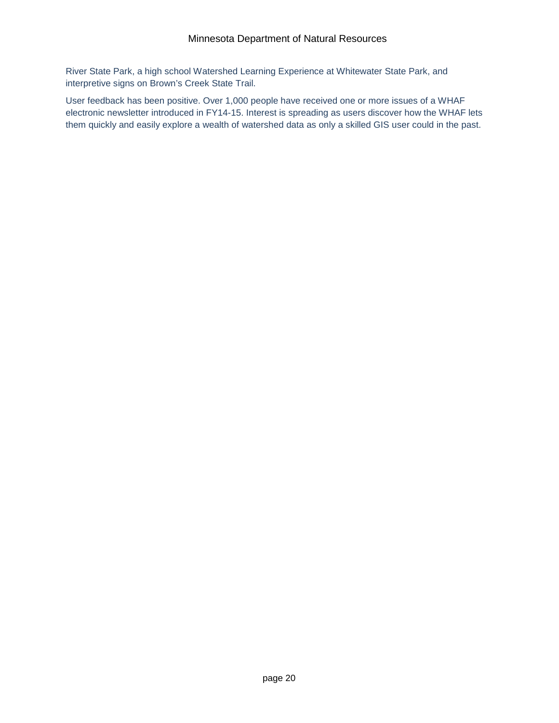River State Park, a high school Watershed Learning Experience at Whitewater State Park, and interpretive signs on Brown's Creek State Trail.

User feedback has been positive. Over 1,000 people have received one or more issues of a WHAF electronic newsletter introduced in FY14-15. Interest is spreading as users discover how the WHAF lets them quickly and easily explore a wealth of watershed data as only a skilled GIS user could in the past.